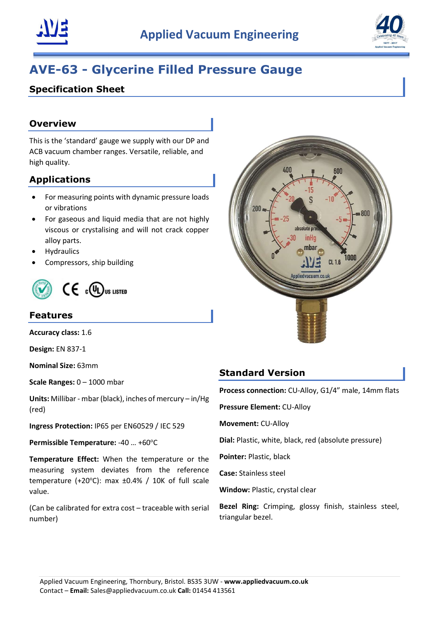



# AVE-63 - Glycerine Filled Pressure Gauge

# Specification Sheet

### **Overview**

This is the 'standard' gauge we supply with our DP and ACB vacuum chamber ranges. Versatile, reliable, and high quality.

## Applications

- For measuring points with dynamic pressure loads or vibrations
- For gaseous and liquid media that are not highly viscous or crystalising and will not crack copper alloy parts.
- **Hydraulics**
- Compressors, ship building



#### Features

Accuracy class: 1.6

Design: EN 837-1

Nominal Size: 63mm

Scale Ranges: 0 – 1000 mbar

Units: Millibar - mbar (black), inches of mercury – in/Hg (red)

Ingress Protection: IP65 per EN60529 / IEC 529

Permissible Temperature: -40 ... +60°C

Temperature Effect: When the temperature or the measuring system deviates from the reference temperature (+20 $^{\circ}$ C): max  $\pm$ 0.4% / 10K of full scale value.

(Can be calibrated for extra cost – traceable with serial number)



#### Standard Version

Process connection: CU-Alloy, G1/4" male, 14mm flats

Pressure Element: CU-Alloy

Movement: CU-Alloy

Dial: Plastic, white, black, red (absolute pressure)

Pointer: Plastic, black

Case: Stainless steel

Window: Plastic, crystal clear

Bezel Ring: Crimping, glossy finish, stainless steel, triangular bezel.